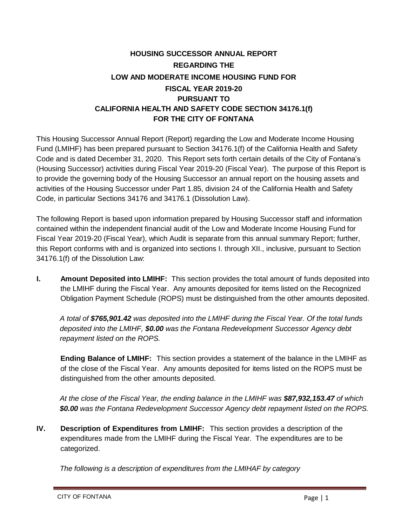## **HOUSING SUCCESSOR ANNUAL REPORT REGARDING THE LOW AND MODERATE INCOME HOUSING FUND FOR FISCAL YEAR 2019-20 PURSUANT TO CALIFORNIA HEALTH AND SAFETY CODE SECTION 34176.1(f) FOR THE CITY OF FONTANA**

This Housing Successor Annual Report (Report) regarding the Low and Moderate Income Housing Fund (LMIHF) has been prepared pursuant to Section 34176.1(f) of the California Health and Safety Code and is dated December 31, 2020. This Report sets forth certain details of the City of Fontana's (Housing Successor) activities during Fiscal Year 2019-20 (Fiscal Year). The purpose of this Report is to provide the governing body of the Housing Successor an annual report on the housing assets and activities of the Housing Successor under Part 1.85, division 24 of the California Health and Safety Code, in particular Sections 34176 and 34176.1 (Dissolution Law).

The following Report is based upon information prepared by Housing Successor staff and information contained within the independent financial audit of the Low and Moderate Income Housing Fund for Fiscal Year 2019-20 (Fiscal Year), which Audit is separate from this annual summary Report; further, this Report conforms with and is organized into sections I. through XII., inclusive, pursuant to Section 34176.1(f) of the Dissolution Law:

**I. Amount Deposited into LMIHF:** This section provides the total amount of funds deposited into the LMIHF during the Fiscal Year. Any amounts deposited for items listed on the Recognized Obligation Payment Schedule (ROPS) must be distinguished from the other amounts deposited.

*A total of \$765,901.42 was deposited into the LMIHF during the Fiscal Year. Of the total funds deposited into the LMIHF, \$0.00 was the Fontana Redevelopment Successor Agency debt repayment listed on the ROPS.*

**Ending Balance of LMIHF:** This section provides a statement of the balance in the LMIHF as of the close of the Fiscal Year. Any amounts deposited for items listed on the ROPS must be distinguished from the other amounts deposited.

*At the close of the Fiscal Year, the ending balance in the LMIHF was \$87,932,153.47 of which \$0.00 was the Fontana Redevelopment Successor Agency debt repayment listed on the ROPS.*

**IV. Description of Expenditures from LMIHF:** This section provides a description of the expenditures made from the LMIHF during the Fiscal Year. The expenditures are to be categorized.

*The following is a description of expenditures from the LMIHAF by category*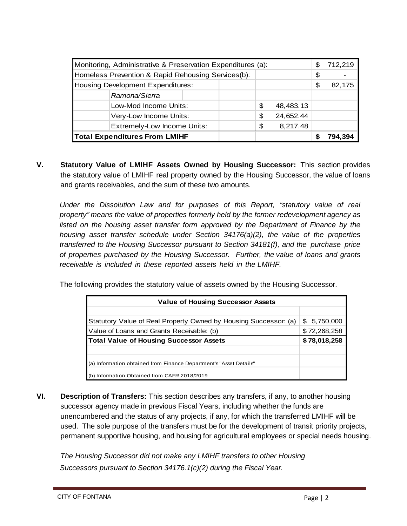| Monitoring, Administrative & Preservation Expenditures (a): |                                    |  |    | S         | 712,219 |  |
|-------------------------------------------------------------|------------------------------------|--|----|-----------|---------|--|
| Homeless Prevention & Rapid Rehousing Services(b):          |                                    |  | \$ |           |         |  |
| <b>Housing Development Expenditures:</b>                    |                                    |  |    | \$        | 82,175  |  |
|                                                             | Ramona/Sierra                      |  |    |           |         |  |
|                                                             | Low-Mod Income Units:              |  | \$ | 48,483.13 |         |  |
|                                                             | Very-Low Income Units:             |  | \$ | 24,652.44 |         |  |
|                                                             | <b>Extremely-Low Income Units:</b> |  | \$ | 8,217.48  |         |  |
| <b>Total Expenditures From LMIHF</b>                        |                                    |  |    |           | 794.394 |  |

**V. Statutory Value of LMIHF Assets Owned by Housing Successor:** This section provides the statutory value of LMIHF real property owned by the Housing Successor, the value of loans and grants receivables, and the sum of these two amounts.

*Under the Dissolution Law and for purposes of this Report, "statutory value of real property" means the value of properties formerly held by the former redevelopment agency as listed on the housing asset transfer form approved by the Department of Finance by the housing asset transfer schedule under Section 34176(a)(2), the value of the properties transferred to the Housing Successor pursuant to Section 34181(f), and the purchase price of properties purchased by the Housing Successor. Further, the value of loans and grants receivable is included in these reported assets held in the LMIHF.*

The following provides the statutory value of assets owned by the Housing Successor.

| <b>Value of Housing Successor Assets</b>                           |              |  |  |
|--------------------------------------------------------------------|--------------|--|--|
|                                                                    |              |  |  |
| Statutory Value of Real Property Owned by Housing Successor: (a)   | \$ 5,750,000 |  |  |
| Value of Loans and Grants Receivable: (b)                          | \$72,268,258 |  |  |
| <b>Total Value of Housing Successor Assets</b>                     | \$78,018,258 |  |  |
|                                                                    |              |  |  |
| (a) Information obtained from Finance Department's "Asset Details" |              |  |  |
| (b) Information Obtained from CAFR 2018/2019                       |              |  |  |

**VI. Description of Transfers:** This section describes any transfers, if any, to another housing successor agency made in previous Fiscal Years, including whether the funds are unencumbered and the status of any projects, if any, for which the transferred LMIHF will be used. The sole purpose of the transfers must be for the development of transit priority projects, permanent supportive housing, and housing for agricultural employees or special needs housing.

*The Housing Successor did not make any LMIHF transfers to other Housing Successors pursuant to Section 34176.1(c)(2) during the Fiscal Year.*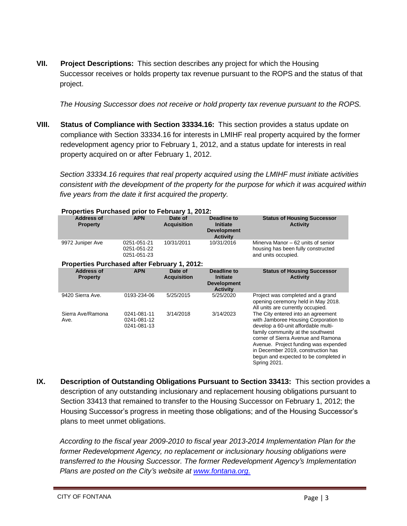**VII. Project Descriptions:** This section describes any project for which the Housing Successor receives or holds property tax revenue pursuant to the ROPS and the status of that project.

*The Housing Successor does not receive or hold property tax revenue pursuant to the ROPS.*

**VIII. Status of Compliance with Section 33334.16:** This section provides a status update on compliance with Section 33334.16 for interests in LMIHF real property acquired by the former redevelopment agency prior to February 1, 2012, and a status update for interests in real property acquired on or after February 1, 2012.

*Section 33334.16 requires that real property acquired using the LMIHF must initiate activities consistent with the development of the property for the purpose for which it was acquired within five years from the date it first acquired the property.*

| Properties Purchased prior to February 1, 2012: |                                           |                               |                                                                         |                                                                                                                                                                                                                                                                                                                                     |
|-------------------------------------------------|-------------------------------------------|-------------------------------|-------------------------------------------------------------------------|-------------------------------------------------------------------------------------------------------------------------------------------------------------------------------------------------------------------------------------------------------------------------------------------------------------------------------------|
| <b>Address of</b><br><b>Property</b>            | <b>APN</b>                                | Date of<br><b>Acquisition</b> | Deadline to<br><b>Initiate</b><br><b>Development</b><br><b>Activity</b> | <b>Status of Housing Successor</b><br><b>Activity</b>                                                                                                                                                                                                                                                                               |
| 9972 Juniper Ave                                | 0251-051-21<br>0251-051-22<br>0251-051-23 | 10/31/2011                    | 10/31/2016                                                              | Minerva Manor – 62 units of senior<br>housing has been fully constructed<br>and units occupied.                                                                                                                                                                                                                                     |
| Properties Purchased after February 1, 2012:    |                                           |                               |                                                                         |                                                                                                                                                                                                                                                                                                                                     |
| <b>Address of</b><br><b>Property</b>            | <b>APN</b>                                | Date of<br><b>Acquisition</b> | Deadline to<br><b>Initiate</b><br><b>Development</b><br><b>Activity</b> | <b>Status of Housing Successor</b><br><b>Activity</b>                                                                                                                                                                                                                                                                               |
| 9420 Sierra Ave.                                | 0193-234-06                               | 5/25/2015                     | 5/25/2020                                                               | Project was completed and a grand<br>opening ceremony held in May 2018.<br>All units are currently occupied.                                                                                                                                                                                                                        |
| Sierra Ave/Ramona<br>Ave.                       | 0241-081-11<br>0241-081-12<br>0241-081-13 | 3/14/2018                     | 3/14/2023                                                               | The City entered into an agreement<br>with Jamboree Housing Corporation to<br>develop a 60-unit affordable multi-<br>family community at the southwest<br>corner of Sierra Avenue and Ramona<br>Avenue. Project funding was expended<br>in December 2019, construction has<br>begun and expected to be completed in<br>Spring 2021. |

**IX. Description of Outstanding Obligations Pursuant to Section 33413:** This section provides a description of any outstanding inclusionary and replacement housing obligations pursuant to Section 33413 that remained to transfer to the Housing Successor on February 1, 2012; the Housing Successor's progress in meeting those obligations; and of the Housing Successor's plans to meet unmet obligations.

*According to the fiscal year 2009-2010 to fiscal year 2013-2014 Implementation Plan for the former Redevelopment Agency, no replacement or inclusionary housing obligations were transferred to the Housing Successor. The former Redevelopment Agency's Implementation Plans are posted on the City's website at [www.fontana.org.](http://www.fontana.org/)*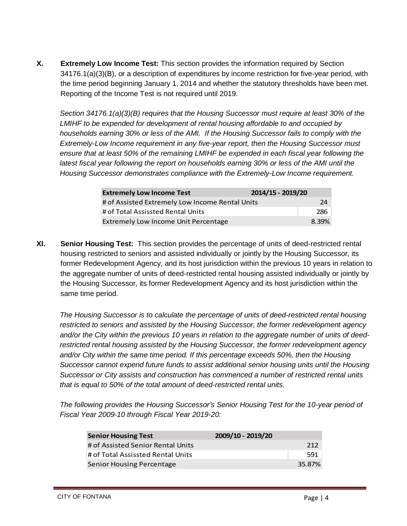**X. Extremely Low Income Test:** This section provides the information required by Section 34176.1(a)(3)(B), or a description of expenditures by income restriction for five-year period, with the time period beginning January 1, 2014 and whether the statutory thresholds have been met. Reporting of the Income Test is not required until 2019.

*Section 34176.1(a)(3)(B) requires that the Housing Successor must require at least 30% of the LMIHF to be expended for development of rental housing affordable to and occupied by households earning 30% or less of the AMI. If the Housing Successor fails to comply with the Extremely-Low Income requirement in any five-year report, then the Housing Successor must ensure that at least 50% of the remaining LMIHF be expended in each fiscal year following the latest fiscal year following the report on households earning 30% or less of the AMI until the Housing Successor demonstrates compliance with the Extremely-Low Income requirement.*

| <b>Extremely Low Income Test</b>                | 2014/15 - 2019/20 |       |
|-------------------------------------------------|-------------------|-------|
| # of Assisted Extremely Low Income Rental Units |                   | 24    |
| # of Total Assissted Rental Units               |                   | 286   |
| Extremely Low Income Unit Percentage            |                   | 8.39% |

**XI. Senior Housing Test:** This section provides the percentage of units of deed-restricted rental housing restricted to seniors and assisted individually or jointly by the Housing Successor, its former Redevelopment Agency, and its host jurisdiction within the previous 10 years in relation to the aggregate number of units of deed-restricted rental housing assisted individually or jointly by the Housing Successor, its former Redevelopment Agency and its host jurisdiction within the same time period.

*The Housing Successor is to calculate the percentage of units of deed-restricted rental housing restricted to seniors and assisted by the Housing Successor, the former redevelopment agency and/or the City within the previous 10 years in relation to the aggregate number of units of deedrestricted rental housing assisted by the Housing Successor, the former redevelopment agency and/or City within the same time period. If this percentage exceeds 50%, then the Housing Successor cannot expend future funds to assist additional senior housing units until the Housing Successor or City assists and construction has commenced a number of restricted rental units that is equal to 50% of the total amount of deed-restricted rental units.*

*The following provides the Housing Successor's Senior Housing Test for the 10-year period of Fiscal Year 2009-10 through Fiscal Year 2019-20:*

| <b>Senior Housing Test</b>        | 2009/10 - 2019/20 |        |
|-----------------------------------|-------------------|--------|
| # of Assisted Senior Rental Units |                   | 212    |
| # of Total Assissted Rental Units |                   | 591    |
| <b>Senior Housing Percentage</b>  |                   | 35.87% |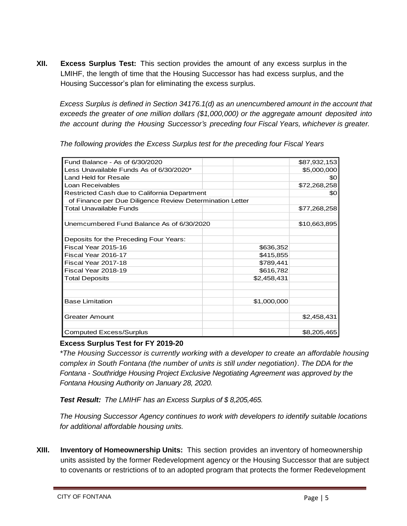**XII. Excess Surplus Test:** This section provides the amount of any excess surplus in the LMIHF, the length of time that the Housing Successor has had excess surplus, and the Housing Successor's plan for eliminating the excess surplus.

*Excess Surplus is defined in Section 34176.1(d) as an unencumbered amount in the account that exceeds the greater of one million dollars (\$1,000,000) or the aggregate amount deposited into the account during the Housing Successor's preceding four Fiscal Years, whichever is greater.*

| Fund Balance - As of 6/30/2020                           |             | \$87,932,153 |
|----------------------------------------------------------|-------------|--------------|
| Less Unavailable Funds As of 6/30/2020*                  |             | \$5,000,000  |
| Land Held for Resale                                     |             | \$0          |
| Loan Receivables                                         |             | \$72,268,258 |
| Restricted Cash due to California Department             |             | \$0          |
| of Finance per Due Diligence Review Determination Letter |             |              |
| <b>Total Unavailable Funds</b>                           |             | \$77,268,258 |
|                                                          |             |              |
| Unemcumbered Fund Balance As of 6/30/2020                |             | \$10,663,895 |
|                                                          |             |              |
| Deposits for the Preceding Four Years:                   |             |              |
| Fiscal Year 2015-16                                      | \$636,352   |              |
| Fiscal Year 2016-17                                      | \$415,855   |              |
| Fiscal Year 2017-18                                      | \$789,441   |              |
| Fiscal Year 2018-19                                      | \$616,782   |              |
| <b>Total Deposits</b>                                    | \$2,458,431 |              |
|                                                          |             |              |
|                                                          |             |              |
| <b>Base Limitation</b>                                   | \$1,000,000 |              |
|                                                          |             |              |
| <b>Greater Amount</b>                                    |             | \$2,458,431  |
|                                                          |             |              |
| <b>Computed Excess/Surplus</b>                           |             | \$8,205,465  |

*The following provides the Excess Surplus test for the preceding four Fiscal Years*

## **Excess Surplus Test for FY 2019-20**

*\*The Housing Successor is currently working with a developer to create an affordable housing complex in South Fontana (the number of units is still under negotiation)*. *The DDA for the Fontana - Southridge Housing Project Exclusive Negotiating Agreement was approved by the Fontana Housing Authority on January 28, 2020.* 

*Test Result: The LMIHF has an Excess Surplus of \$ 8,205,465.*

*The Housing Successor Agency continues to work with developers to identify suitable locations for additional affordable housing units.*

**XIII. Inventory of Homeownership Units:** This section provides an inventory of homeownership units assisted by the former Redevelopment agency or the Housing Successor that are subject to covenants or restrictions of to an adopted program that protects the former Redevelopment